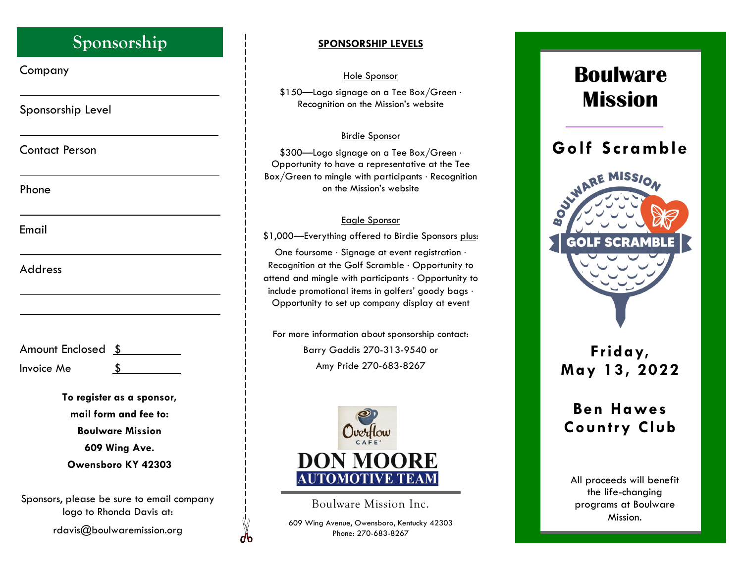## **Sponsorship**

Company

Sponsorship Level

Contact Person

Phone

Email

Address

| Amount Enclosed \$ |  |
|--------------------|--|
| Invoice Me         |  |

**To register as a sponsor, mail form and fee to: Boulware Mission 609 Wing Ave. Owensboro KY 42303** 

Sponsors, please be sure to email company logo to Rhonda Davis at:

rdavis@boulwaremission.org

### **SPONSORSHIP LEVELS**

### Hole Sponsor

\$150-Logo signage on a Tee Box/Green . Recognition on the Mission's website

### Birdie Sponsor

\$300-Logo signage on a Tee Box/Green . Opportunity to have a representative at the Tee  $Box/G$ reen to mingle with participants  $\cdot$  Recognition on the Mission's website

### Eagle Sponsor

\$1,000—Everything offered to Birdie Sponsors plus:

One foursome · Signage at event registration · Recognition at the Golf Scramble  $\cdot$  Opportunity to attend and mingle with participants Opportunity to include promotional items in golfers' goody bags Opportunity to set up company display at event

For more information about sponsorship contact: Barry Gaddis 270-313-9540 or Amy Pride 270-683-8267



Boulware Mission Inc.

609 Wing Avenue, Owensboro, Kentucky 42303 Phone: 270-683-8267

db

# **Boulware Mission**



### **Friday, May 13, 2022**

## **Ben Hawes Country Club**

All proceeds will benefit the life-changing programs at Boulware Mission.